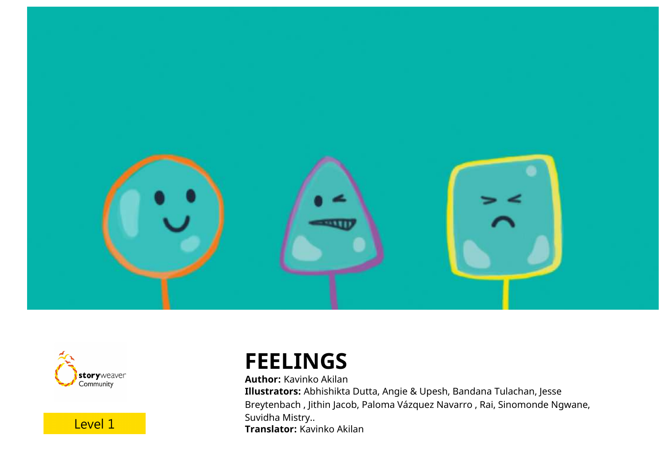



Level 1

# **FEELINGS**

**Author:** Kavinko Akilan **Illustrators:** Abhishikta Dutta, Angie & Upesh, Bandana Tulachan, Jesse Breytenbach , Jithin Jacob, Paloma Vázquez Navarro , Rai, Sinomonde Ngwane, Suvidha Mistry.. **Translator:** Kavinko Akilan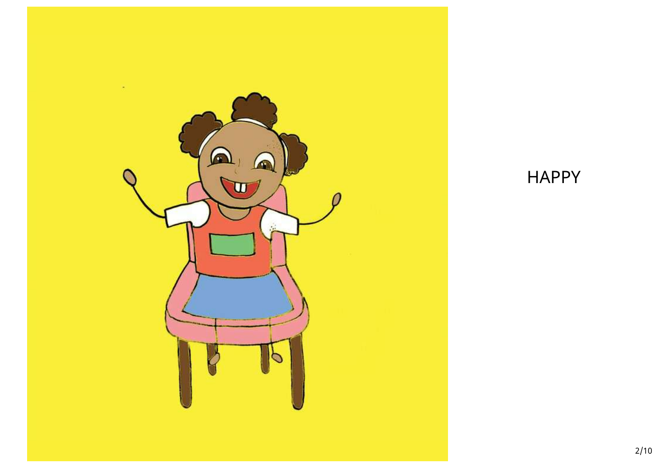

### HAPPY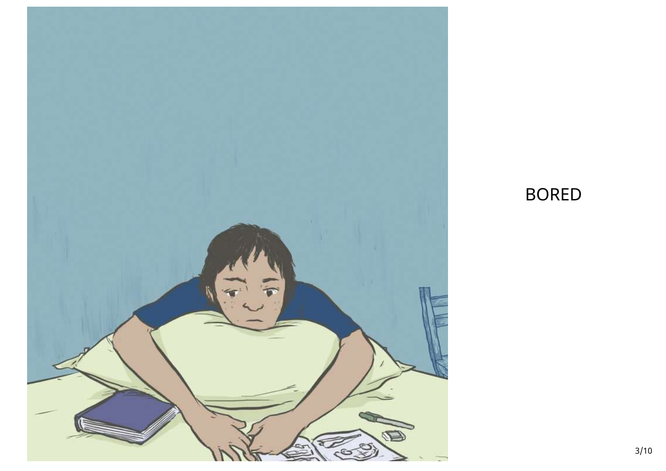

# BORED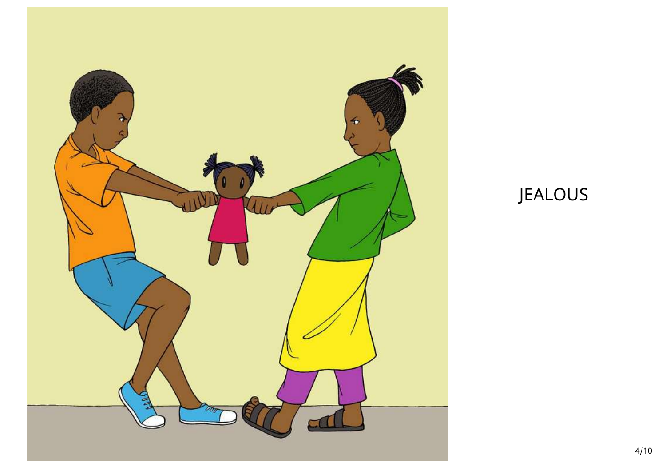

# JEALOUS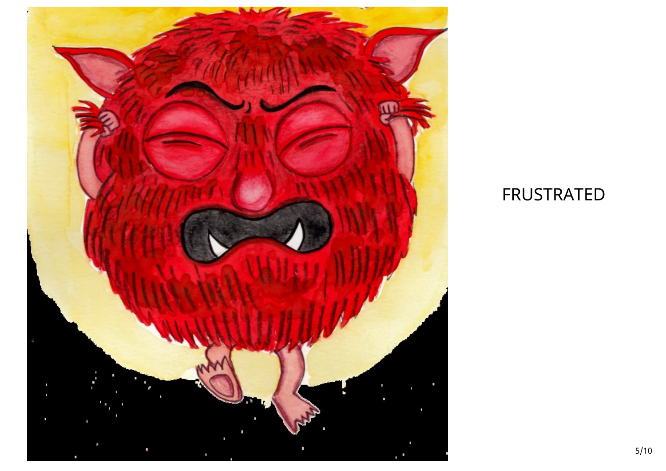

# FRUSTRATED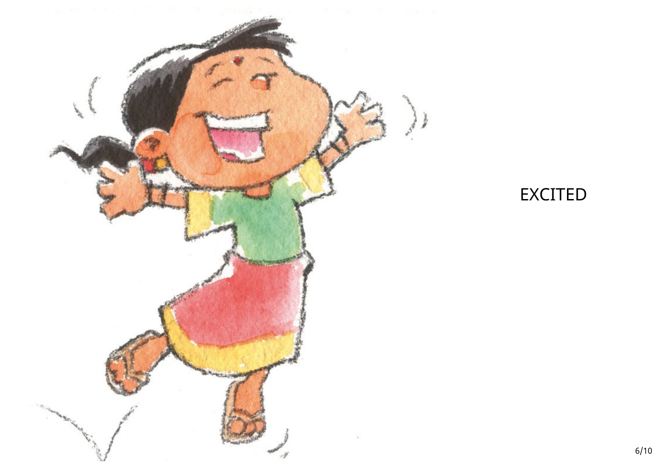

#### EXCITED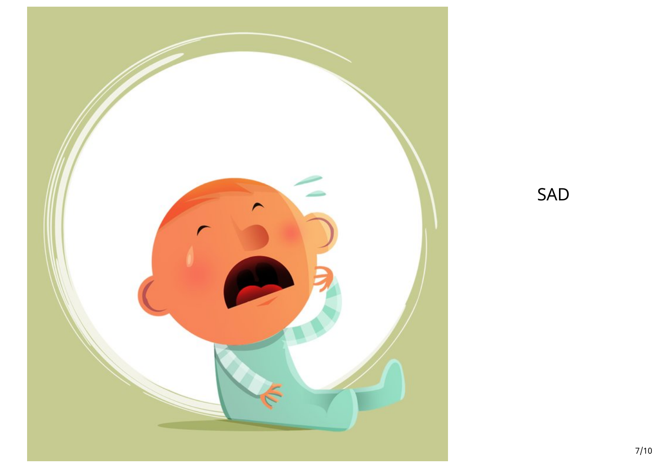

SAD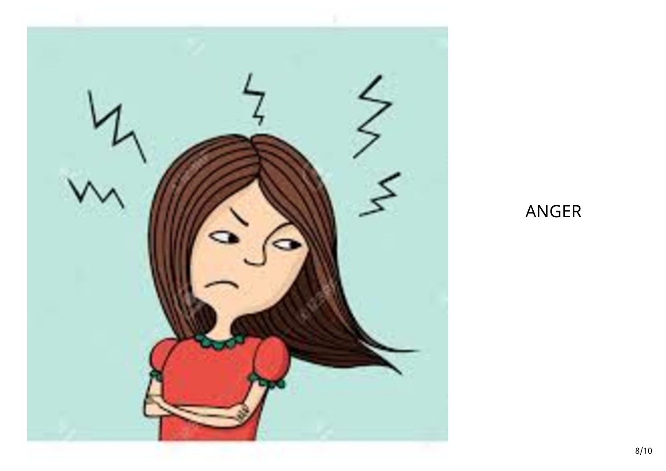

### ANGER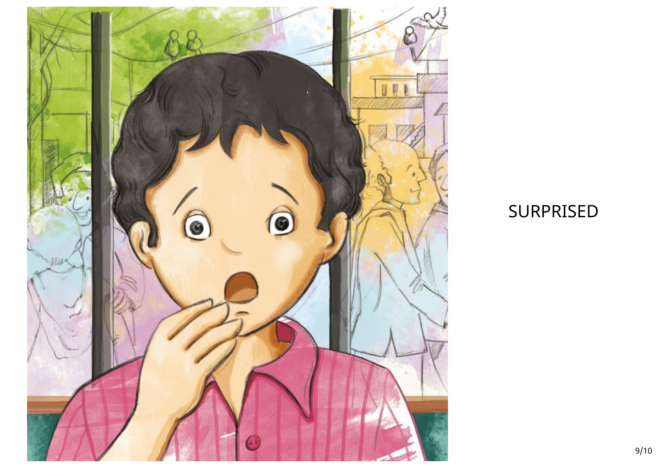

### SURPRISED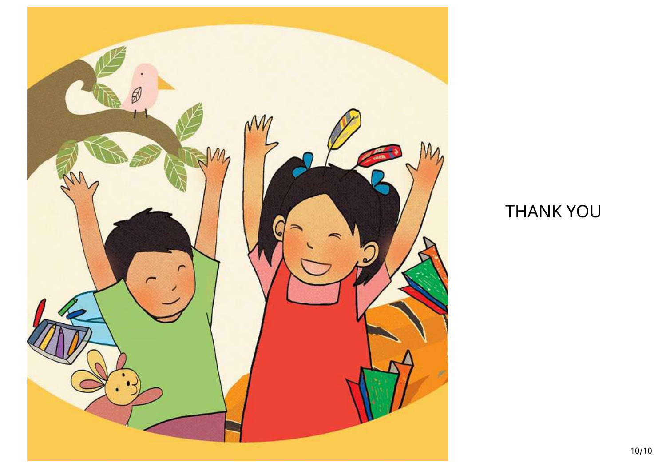

# THANK YOU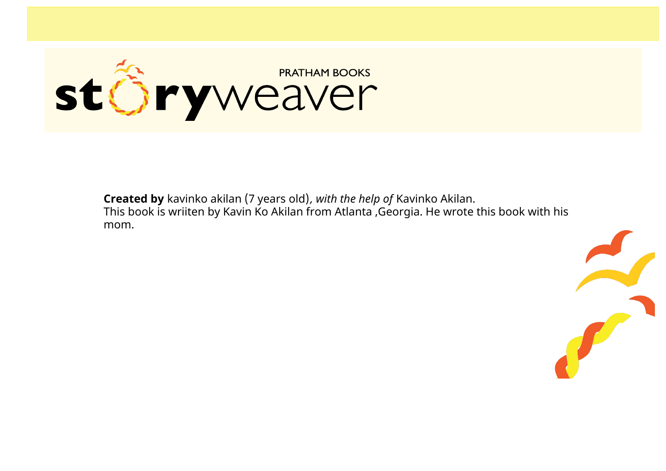

**Created by** kavinko akilan (7 years old)*, with the help of* Kavinko Akilan. This book is wriiten by Kavin Ko Akilan from Atlanta ,Georgia. He wrote this book with his mom.

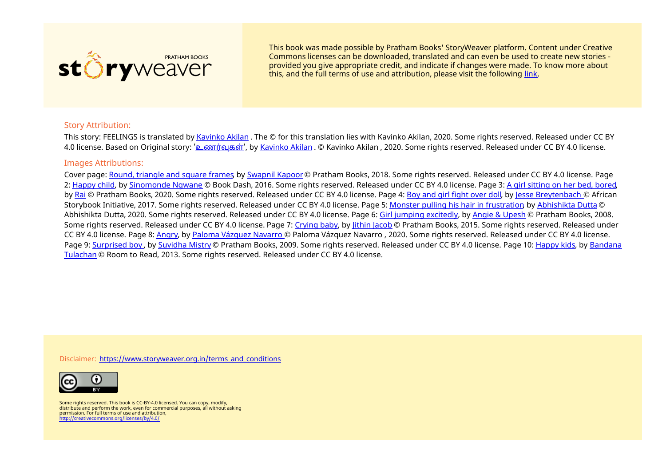

This book was made possible by Pratham Books' StoryWeaver platform. Content under Creative Commons licenses can be downloaded, translated and can even be used to create new stories ‐ provided you give appropriate credit, and indicate if changes were made. To know more about this, and the full terms of use and attribution, please visit the following [link](https://storyweaver.org.in/terms_and_conditions).

#### Story Attribution:

This story: FEELINGS is translated by [Kavinko](https://storyweaver.org.in/users/180884-kavinko-akilan) Akilan . The © for this translation lies with Kavinko Akilan, 2020. Some rights reserved. Released under CC BY 4.0 license. Based on Original story: 'உணர்வுகள்', by [Kavinko](https://storyweaver.org.in/users/180884-kavinko-akilan) Akilan . © Kavinko Akilan , 2020. Some rights reserved. Released under CC BY 4.0 license.

#### Images Attributions:

Cover page: Round, [triangle](https://storyweaver.org.in/illustrations/13557-round-triangle-and-square-frames) and square frames by [Swapnil](https://storyweaver.org.in/users/14936-swapnil-kapoor) Kapoor © Pratham Books, 2018. Some rights reserved. Released under CC BY 4.0 license. Page 2: [Happy](https://storyweaver.org.in/illustrations/30346-happy-child) child, by [Sinomonde](https://storyweaver.org.in/users/150728-sinomonde-ngwane) Ngwane © Book Dash, 2016. Some rights reserved. Released under CC BY 4.0 license. Page 3: A girl [sitting](https://storyweaver.org.in/illustrations/33027-a-girl-sitting-on-her-bed-bored) on her bed, bored, by [Rai](https://storyweaver.org.in/users/61623-rai) © Pratham Books, 2020. Some rights reserved. Released under CC BY 4.0 license. Page 4: Boy and girl [fight](https://storyweaver.org.in/illustrations/21694-boy-and-girl-fight-over-doll) over doll, by Jesse [Breytenbach](https://storyweaver.org.in/users/16218-jesse-breytenbach) © African Storybook Initiative, 2017. Some rights reserved. Released under CC BY 4.0 license. Page 5: Monster pulling his hair in [frustration](https://storyweaver.org.in/illustrations/22865-monster-pulling-his-hair-in-frustration), by [Abhishikta](https://storyweaver.org.in/users/44703-abhishikta-dutta) Dutta © Abhishikta Dutta, 2020. Some rights reserved. Released under CC BY 4.0 license. Page 6: Girl jumping [excitedly](https://storyweaver.org.in/illustrations/109-girl-jumping-excitedly), by Angie & [Upesh](https://storyweaver.org.in/users/45-angie-upesh) © Pratham Books, 2008. Some rights reserved. Released under CC BY 4.0 license. Page 7: [Crying](https://storyweaver.org.in/illustrations/1926-crying-baby) baby, by [Jithin](https://storyweaver.org.in/users/354-jithin-jacob) Jacob © Pratham Books, 2015. Some rights reserved. Released under CC BY 4.0 license. Page 8: [Angry](https://storyweaver.org.in/illustrations/24848-angry), by Paloma [Vázquez](https://storyweaver.org.in/users/55474-paloma-vazquez-navarro) Navarro © Paloma Vázquez Navarro , 2020. Some rights reserved. Released under CC BY 4.0 license. Page 9: [S](https://storyweaver.org.in/users/47835-bandana-tulachan)[urprised](https://storyweaver.org.in/illustrations/1114-surprised-boy) boy, by [Suvidha](https://storyweaver.org.in/users/86-suvidha-mistry) Mistry © Pratham Books, 2009. Some rights reserved. Released under CC BY 4.0 license. Page 10: [Happy](https://storyweaver.org.in/illustrations/23416-happy-kids) kids, by Bandana Tulachan © Room to Read, 2013. Some rights reserved. Released under CC BY 4.0 license.

Disclaimer: [https://www.storyweaver.org.in/terms\\_and\\_conditions](https://storyweaver.org.in/terms_and_conditions)



Some rights reserved. This book is CC-BY-4.0 licensed. You can copy, modify, distribute and perform the work, even for commercial purposes, all without asking permission. For full terms of use and attribution, <http://creativecommons.org/licenses/by/4.0/>